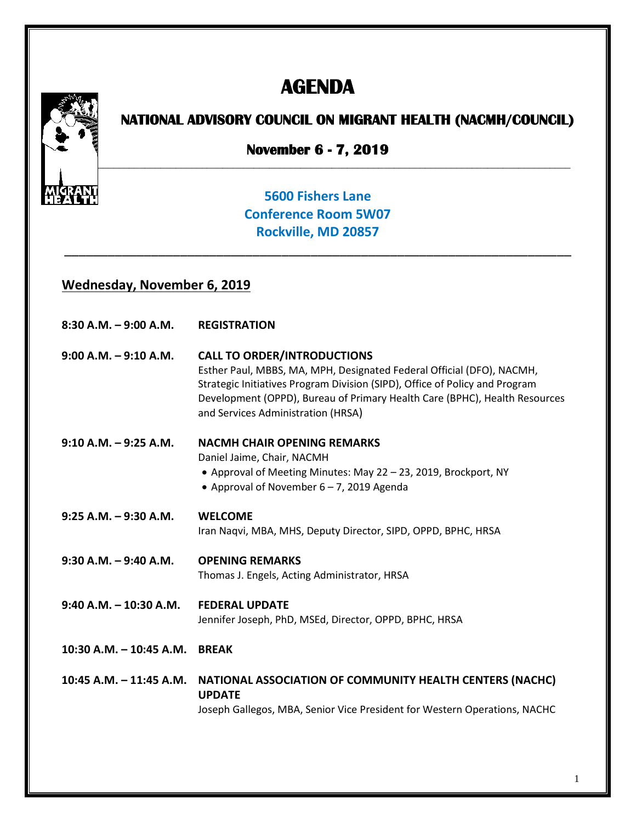# **AGENDA**



## **NATIONAL ADVISORY COUNCIL ON MIGRANT HEALTH (NACMH/COUNCIL)**

**November 6 - 7, 2019**

### **5600 Fishers Lane Conference Room 5W07 Rockville, MD 20857**

\_\_\_\_\_\_\_\_\_\_\_\_\_\_\_\_\_\_\_\_\_\_\_\_\_\_\_\_\_\_\_\_\_\_\_\_\_\_\_\_\_\_\_\_\_\_\_\_\_\_\_\_\_\_\_\_\_\_\_\_\_\_\_\_\_\_\_\_\_\_

#### **Wednesday, November 6, 2019**

| $8:30$ A.M. $-9:00$ A.M.   | <b>REGISTRATION</b>                                                                                                                                                                                                                                                                                            |
|----------------------------|----------------------------------------------------------------------------------------------------------------------------------------------------------------------------------------------------------------------------------------------------------------------------------------------------------------|
| $9:00$ A.M. $-9:10$ A.M.   | <b>CALL TO ORDER/INTRODUCTIONS</b><br>Esther Paul, MBBS, MA, MPH, Designated Federal Official (DFO), NACMH,<br>Strategic Initiatives Program Division (SIPD), Office of Policy and Program<br>Development (OPPD), Bureau of Primary Health Care (BPHC), Health Resources<br>and Services Administration (HRSA) |
| $9:10 A.M. - 9:25 A.M.$    | <b>NACMH CHAIR OPENING REMARKS</b><br>Daniel Jaime, Chair, NACMH<br>• Approval of Meeting Minutes: May 22 - 23, 2019, Brockport, NY                                                                                                                                                                            |
|                            | • Approval of November $6 - 7$ , 2019 Agenda                                                                                                                                                                                                                                                                   |
| $9:25$ A.M. $-9:30$ A.M.   | <b>WELCOME</b><br>Iran Naqvi, MBA, MHS, Deputy Director, SIPD, OPPD, BPHC, HRSA                                                                                                                                                                                                                                |
| $9:30$ A.M. $-9:40$ A.M.   | <b>OPENING REMARKS</b><br>Thomas J. Engels, Acting Administrator, HRSA                                                                                                                                                                                                                                         |
| $9:40$ A.M. $-10:30$ A.M.  | <b>FEDERAL UPDATE</b><br>Jennifer Joseph, PhD, MSEd, Director, OPPD, BPHC, HRSA                                                                                                                                                                                                                                |
| $10:30$ A.M. $-10:45$ A.M. | <b>BREAK</b>                                                                                                                                                                                                                                                                                                   |
| $10:45$ A.M. $-11:45$ A.M. | NATIONAL ASSOCIATION OF COMMUNITY HEALTH CENTERS (NACHC)<br><b>UPDATE</b><br>Joseph Gallegos, MBA, Senior Vice President for Western Operations, NACHC                                                                                                                                                         |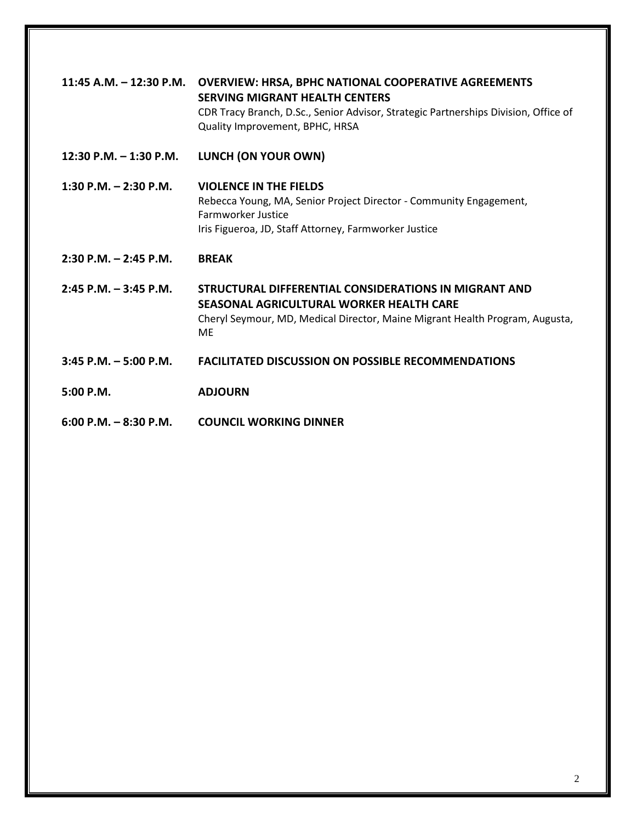| 11:45 A.M. $-$ 12:30 P.M. | <b>OVERVIEW: HRSA, BPHC NATIONAL COOPERATIVE AGREEMENTS</b><br><b>SERVING MIGRANT HEALTH CENTERS</b><br>CDR Tracy Branch, D.Sc., Senior Advisor, Strategic Partnerships Division, Office of<br>Quality Improvement, BPHC, HRSA |
|---------------------------|--------------------------------------------------------------------------------------------------------------------------------------------------------------------------------------------------------------------------------|
| 12:30 P.M. $-$ 1:30 P.M.  | LUNCH (ON YOUR OWN)                                                                                                                                                                                                            |
| 1:30 P.M. $-$ 2:30 P.M.   | <b>VIOLENCE IN THE FIELDS</b><br>Rebecca Young, MA, Senior Project Director - Community Engagement,<br>Farmworker Justice<br>Iris Figueroa, JD, Staff Attorney, Farmworker Justice                                             |
| $2:30$ P.M. $-2:45$ P.M.  | <b>BRFAK</b>                                                                                                                                                                                                                   |
| $2:45$ P.M. $-3:45$ P.M.  | STRUCTURAL DIFFFRENTIAL CONSIDERATIONS IN MIGRANT AND<br>SEASONAL AGRICULTURAL WORKER HEALTH CARE<br>Cheryl Seymour, MD, Medical Director, Maine Migrant Health Program, Augusta,<br><b>ME</b>                                 |
| $3:45$ P.M. $-5:00$ P.M.  | <b>FACILITATED DISCUSSION ON POSSIBLE RECOMMENDATIONS</b>                                                                                                                                                                      |
| $5:00$ P.M.               | <b>ADJOURN</b>                                                                                                                                                                                                                 |
| $6:00$ P.M. $-8:30$ P.M.  | <b>COUNCIL WORKING DINNER</b>                                                                                                                                                                                                  |